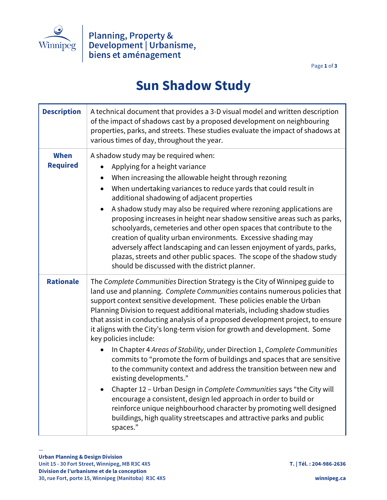

Page **1** of **3**

## **Sun Shadow Study**

| <b>Description</b>             | A technical document that provides a 3-D visual model and written description<br>of the impact of shadows cast by a proposed development on neighbouring<br>properties, parks, and streets. These studies evaluate the impact of shadows at<br>various times of day, throughout the year.                                                                                                                                                                                                                                                                                                                                                                                                                                                                                                                                                                                                                                                                                                                                                                                                                  |
|--------------------------------|------------------------------------------------------------------------------------------------------------------------------------------------------------------------------------------------------------------------------------------------------------------------------------------------------------------------------------------------------------------------------------------------------------------------------------------------------------------------------------------------------------------------------------------------------------------------------------------------------------------------------------------------------------------------------------------------------------------------------------------------------------------------------------------------------------------------------------------------------------------------------------------------------------------------------------------------------------------------------------------------------------------------------------------------------------------------------------------------------------|
| <b>When</b><br><b>Required</b> | A shadow study may be required when:<br>Applying for a height variance<br>$\bullet$<br>When increasing the allowable height through rezoning<br>$\bullet$<br>When undertaking variances to reduce yards that could result in<br>additional shadowing of adjacent properties<br>A shadow study may also be required where rezoning applications are<br>$\bullet$<br>proposing increases in height near shadow sensitive areas such as parks,<br>schoolyards, cemeteries and other open spaces that contribute to the<br>creation of quality urban environments. Excessive shading may<br>adversely affect landscaping and can lessen enjoyment of yards, parks,<br>plazas, streets and other public spaces. The scope of the shadow study<br>should be discussed with the district planner.                                                                                                                                                                                                                                                                                                                 |
| <b>Rationale</b>               | The Complete Communities Direction Strategy is the City of Winnipeg guide to<br>land use and planning. Complete Communities contains numerous policies that<br>support context sensitive development. These policies enable the Urban<br>Planning Division to request additional materials, including shadow studies<br>that assist in conducting analysis of a proposed development project, to ensure<br>it aligns with the City's long-term vision for growth and development. Some<br>key policies include:<br>In Chapter 4 Areas of Stability, under Direction 1, Complete Communities<br>$\bullet$<br>commits to "promote the form of buildings and spaces that are sensitive<br>to the community context and address the transition between new and<br>existing developments."<br>Chapter 12 - Urban Design in Complete Communities says "the City will<br>$\bullet$<br>encourage a consistent, design led approach in order to build or<br>reinforce unique neighbourhood character by promoting well designed<br>buildings, high quality streetscapes and attractive parks and public<br>spaces." |

—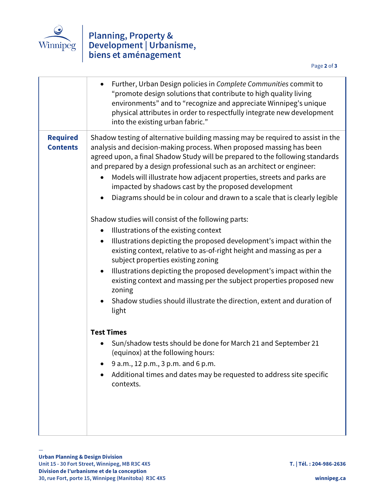

## Winnipeg Blanning, Property & Development | Urbanisme, biens et aménagement

Page **2** of **3**

|                                    | Further, Urban Design policies in Complete Communities commit to<br>"promote design solutions that contribute to high quality living<br>environments" and to "recognize and appreciate Winnipeg's unique<br>physical attributes in order to respectfully integrate new development<br>into the existing urban fabric."                                                                                                                                                                                                            |
|------------------------------------|-----------------------------------------------------------------------------------------------------------------------------------------------------------------------------------------------------------------------------------------------------------------------------------------------------------------------------------------------------------------------------------------------------------------------------------------------------------------------------------------------------------------------------------|
| <b>Required</b><br><b>Contents</b> | Shadow testing of alternative building massing may be required to assist in the<br>analysis and decision-making process. When proposed massing has been<br>agreed upon, a final Shadow Study will be prepared to the following standards<br>and prepared by a design professional such as an architect or engineer:<br>Models will illustrate how adjacent properties, streets and parks are<br>impacted by shadows cast by the proposed development<br>Diagrams should be in colour and drawn to a scale that is clearly legible |
|                                    | Shadow studies will consist of the following parts:                                                                                                                                                                                                                                                                                                                                                                                                                                                                               |
|                                    | Illustrations of the existing context<br>$\bullet$                                                                                                                                                                                                                                                                                                                                                                                                                                                                                |
|                                    | Illustrations depicting the proposed development's impact within the<br>$\bullet$<br>existing context, relative to as-of-right height and massing as per a<br>subject properties existing zoning                                                                                                                                                                                                                                                                                                                                  |
|                                    | Illustrations depicting the proposed development's impact within the<br>$\bullet$<br>existing context and massing per the subject properties proposed new<br>zoning                                                                                                                                                                                                                                                                                                                                                               |
|                                    | Shadow studies should illustrate the direction, extent and duration of<br>light                                                                                                                                                                                                                                                                                                                                                                                                                                                   |
|                                    | <b>Test Times</b>                                                                                                                                                                                                                                                                                                                                                                                                                                                                                                                 |
|                                    | Sun/shadow tests should be done for March 21 and September 21<br>(equinox) at the following hours:                                                                                                                                                                                                                                                                                                                                                                                                                                |
|                                    | 9 a.m., 12 p.m., 3 p.m. and 6 p.m.                                                                                                                                                                                                                                                                                                                                                                                                                                                                                                |
|                                    | Additional times and dates may be requested to address site specific<br>contexts.                                                                                                                                                                                                                                                                                                                                                                                                                                                 |
|                                    |                                                                                                                                                                                                                                                                                                                                                                                                                                                                                                                                   |